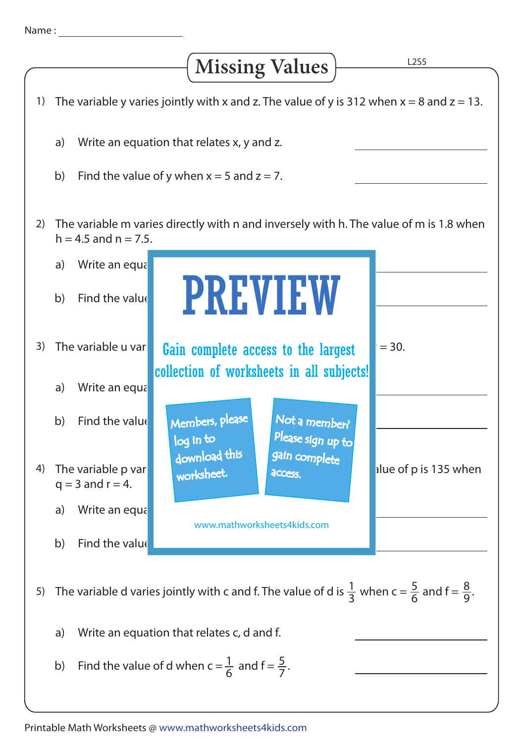